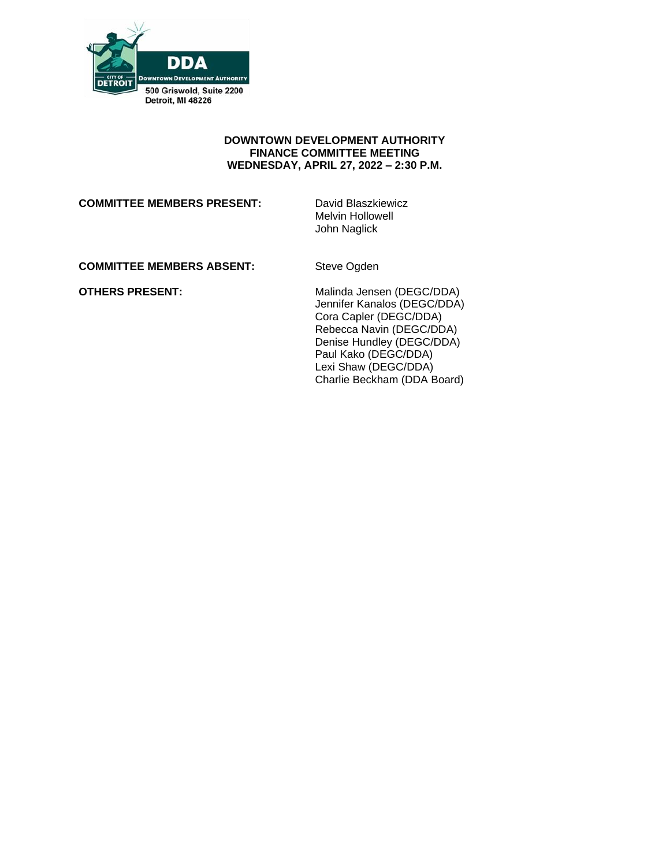

### **DOWNTOWN DEVELOPMENT AUTHORITY FINANCE COMMITTEE MEETING WEDNESDAY, APRIL 27, 2022 – 2:30 P.M.**

#### **COMMITTEE MEMBERS PRESENT:** David Blaszkiewicz

Melvin Hollowell John Naglick

## **COMMITTEE MEMBERS ABSENT:** Steve Ogden

**OTHERS PRESENT:** Malinda Jensen (DEGC/DDA) Jennifer Kanalos (DEGC/DDA) Cora Capler (DEGC/DDA) Rebecca Navin (DEGC/DDA) Denise Hundley (DEGC/DDA) Paul Kako (DEGC/DDA) Lexi Shaw (DEGC/DDA) Charlie Beckham (DDA Board)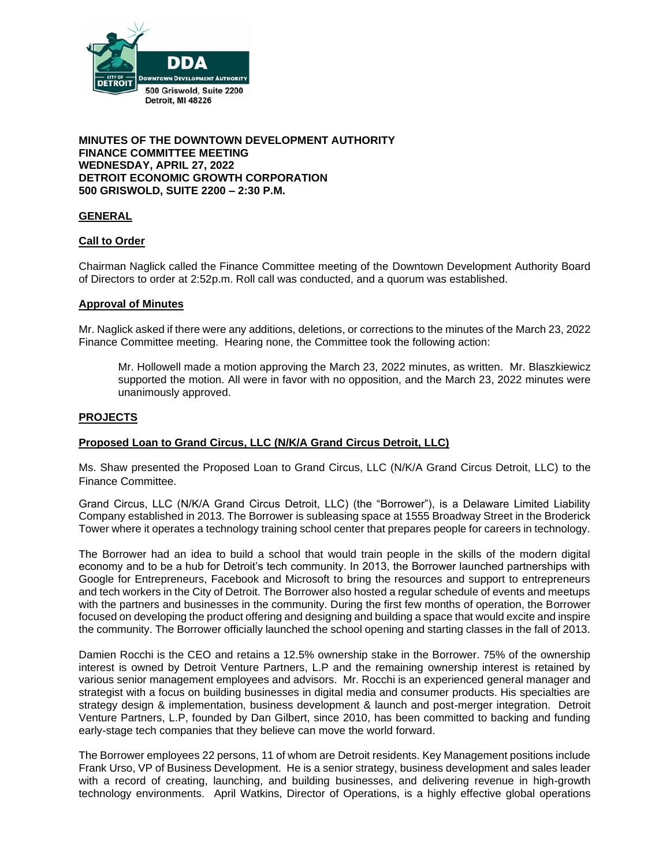

### **MINUTES OF THE DOWNTOWN DEVELOPMENT AUTHORITY FINANCE COMMITTEE MEETING WEDNESDAY, APRIL 27, 2022 DETROIT ECONOMIC GROWTH CORPORATION 500 GRISWOLD, SUITE 2200 – 2:30 P.M.**

## **GENERAL**

## **Call to Order**

Chairman Naglick called the Finance Committee meeting of the Downtown Development Authority Board of Directors to order at 2:52p.m. Roll call was conducted, and a quorum was established.

## **Approval of Minutes**

Mr. Naglick asked if there were any additions, deletions, or corrections to the minutes of the March 23, 2022 Finance Committee meeting. Hearing none, the Committee took the following action:

Mr. Hollowell made a motion approving the March 23, 2022 minutes, as written. Mr. Blaszkiewicz supported the motion. All were in favor with no opposition, and the March 23, 2022 minutes were unanimously approved.

#### **PROJECTS**

## **Proposed Loan to Grand Circus, LLC (N/K/A Grand Circus Detroit, LLC)**

Ms. Shaw presented the Proposed Loan to Grand Circus, LLC (N/K/A Grand Circus Detroit, LLC) to the Finance Committee.

Grand Circus, LLC (N/K/A Grand Circus Detroit, LLC) (the "Borrower"), is a Delaware Limited Liability Company established in 2013. The Borrower is subleasing space at 1555 Broadway Street in the Broderick Tower where it operates a technology training school center that prepares people for careers in technology.

The Borrower had an idea to build a school that would train people in the skills of the modern digital economy and to be a hub for Detroit's tech community. In 2013, the Borrower launched partnerships with Google for Entrepreneurs, Facebook and Microsoft to bring the resources and support to entrepreneurs and tech workers in the City of Detroit. The Borrower also hosted a regular schedule of events and meetups with the partners and businesses in the community. During the first few months of operation, the Borrower focused on developing the product offering and designing and building a space that would excite and inspire the community. The Borrower officially launched the school opening and starting classes in the fall of 2013.

Damien Rocchi is the CEO and retains a 12.5% ownership stake in the Borrower. 75% of the ownership interest is owned by Detroit Venture Partners, L.P and the remaining ownership interest is retained by various senior management employees and advisors. Mr. Rocchi is an experienced general manager and strategist with a focus on building businesses in digital media and consumer products. His specialties are strategy design & implementation, business development & launch and post-merger integration. Detroit Venture Partners, L.P, founded by Dan Gilbert, since 2010, has been committed to backing and funding early-stage tech companies that they believe can move the world forward.

The Borrower employees 22 persons, 11 of whom are Detroit residents. Key Management positions include Frank Urso, VP of Business Development. He is a senior strategy, business development and sales leader with a record of creating, launching, and building businesses, and delivering revenue in high-growth technology environments. April Watkins, Director of Operations, is a highly effective global operations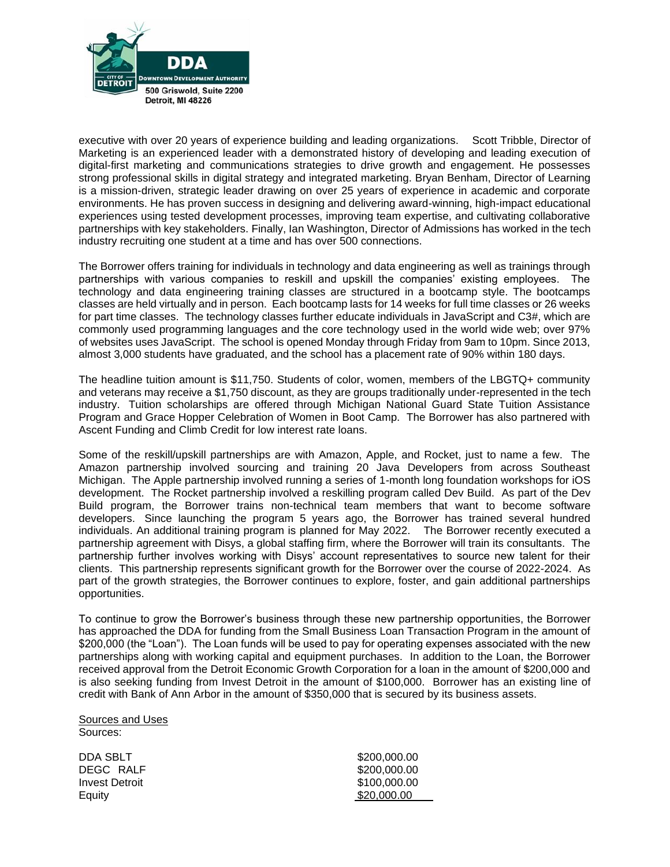

executive with over 20 years of experience building and leading organizations. Scott Tribble, Director of Marketing is an experienced leader with a demonstrated history of developing and leading execution of digital-first marketing and communications strategies to drive growth and engagement. He possesses strong professional skills in digital strategy and integrated marketing. Bryan Benham, Director of Learning is a mission-driven, strategic leader drawing on over 25 years of experience in academic and corporate environments. He has proven success in designing and delivering award-winning, high-impact educational experiences using tested development processes, improving team expertise, and cultivating collaborative partnerships with key stakeholders. Finally, Ian Washington, Director of Admissions has worked in the tech industry recruiting one student at a time and has over 500 connections.

The Borrower offers training for individuals in technology and data engineering as well as trainings through partnerships with various companies to reskill and upskill the companies' existing employees. The technology and data engineering training classes are structured in a bootcamp style. The bootcamps classes are held virtually and in person. Each bootcamp lasts for 14 weeks for full time classes or 26 weeks for part time classes. The technology classes further educate individuals in JavaScript and C3#, which are commonly used programming languages and the core technology used in the world wide web; over 97% of websites uses JavaScript. The school is opened Monday through Friday from 9am to 10pm. Since 2013, almost 3,000 students have graduated, and the school has a placement rate of 90% within 180 days.

The headline tuition amount is \$11,750. Students of color, women, members of the LBGTQ+ community and veterans may receive a \$1,750 discount, as they are groups traditionally under-represented in the tech industry. Tuition scholarships are offered through Michigan National Guard State Tuition Assistance Program and Grace Hopper Celebration of Women in Boot Camp. The Borrower has also partnered with Ascent Funding and Climb Credit for low interest rate loans.

Some of the reskill/upskill partnerships are with Amazon, Apple, and Rocket, just to name a few. The Amazon partnership involved sourcing and training 20 Java Developers from across Southeast Michigan. The Apple partnership involved running a series of 1-month long foundation workshops for iOS development. The Rocket partnership involved a reskilling program called Dev Build. As part of the Dev Build program, the Borrower trains non-technical team members that want to become software developers. Since launching the program 5 years ago, the Borrower has trained several hundred individuals. An additional training program is planned for May 2022. The Borrower recently executed a partnership agreement with Disys, a global staffing firm, where the Borrower will train its consultants. The partnership further involves working with Disys' account representatives to source new talent for their clients. This partnership represents significant growth for the Borrower over the course of 2022-2024. As part of the growth strategies, the Borrower continues to explore, foster, and gain additional partnerships opportunities.

To continue to grow the Borrower's business through these new partnership opportunities, the Borrower has approached the DDA for funding from the Small Business Loan Transaction Program in the amount of \$200,000 (the "Loan"). The Loan funds will be used to pay for operating expenses associated with the new partnerships along with working capital and equipment purchases. In addition to the Loan, the Borrower received approval from the Detroit Economic Growth Corporation for a loan in the amount of \$200,000 and is also seeking funding from Invest Detroit in the amount of \$100,000. Borrower has an existing line of credit with Bank of Ann Arbor in the amount of \$350,000 that is secured by its business assets.

Sources and Uses Sources:

DDA SBLT \$200,000.00 DEGC RALF \$200,000.00 **Invest Detroit \$100,000.00** Equity \$20,000.00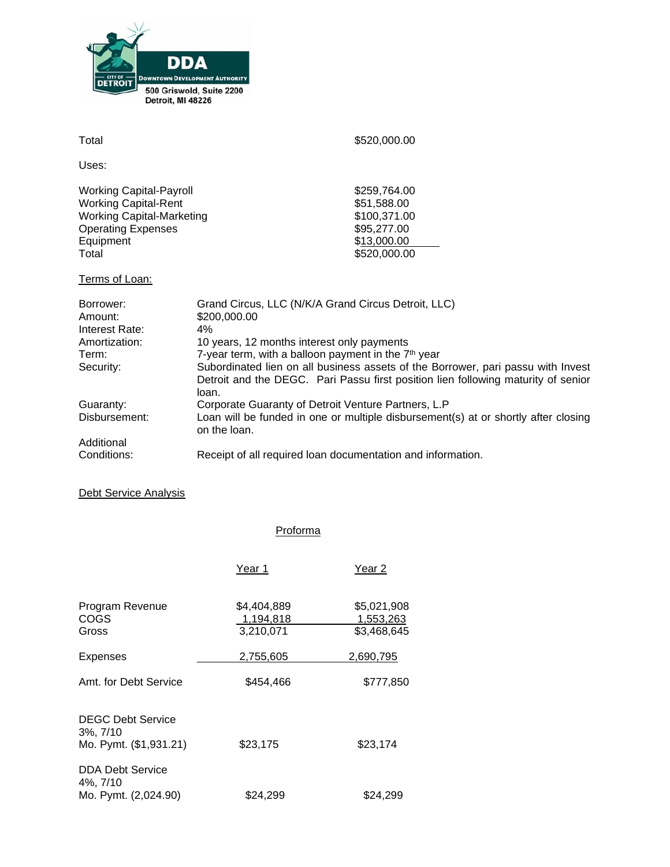

| Total                                                                                                                                                | \$520,000.00                                                                                                                                                                                                                                      |
|------------------------------------------------------------------------------------------------------------------------------------------------------|---------------------------------------------------------------------------------------------------------------------------------------------------------------------------------------------------------------------------------------------------|
| Uses:                                                                                                                                                |                                                                                                                                                                                                                                                   |
| <b>Working Capital-Payroll</b><br><b>Working Capital-Rent</b><br><b>Working Capital-Marketing</b><br><b>Operating Expenses</b><br>Equipment<br>Total | \$259,764.00<br>\$51,588.00<br>\$100,371.00<br>\$95,277.00<br>\$13,000.00<br>\$520,000.00                                                                                                                                                         |
| Terms of Loan:                                                                                                                                       |                                                                                                                                                                                                                                                   |
| Borrower:<br>Amount:<br>Interest Rate:                                                                                                               | Grand Circus, LLC (N/K/A Grand Circus Detroit, LLC)<br>\$200,000.00<br>4%                                                                                                                                                                         |
| Amortization:                                                                                                                                        | 10 years, 12 months interest only payments                                                                                                                                                                                                        |
| Term:<br>Security:                                                                                                                                   | 7-year term, with a balloon payment in the 7 <sup>th</sup> year<br>Subordinated lien on all business assets of the Borrower, pari passu with Invest<br>Detroit and the DEGC. Pari Passu first position lien following maturity of senior<br>loan. |
| Guaranty:<br>Disbursement:                                                                                                                           | Corporate Guaranty of Detroit Venture Partners, L.P<br>Loan will be funded in one or multiple disbursement(s) at or shortly after closing<br>on the loan.                                                                                         |
| Additional                                                                                                                                           |                                                                                                                                                                                                                                                   |
| Conditions:                                                                                                                                          | Receipt of all required loan documentation and information.                                                                                                                                                                                       |

Proforma

# Debt Service Analysis

|                                                                   | Year 1                                | Year 2                                  |
|-------------------------------------------------------------------|---------------------------------------|-----------------------------------------|
| Program Revenue<br>COGS<br>Gross                                  | \$4,404,889<br>1,194,818<br>3,210,071 | \$5,021,908<br>1,553,263<br>\$3,468,645 |
| <b>Expenses</b>                                                   | 2,755,605                             | 2,690,795                               |
| Amt. for Debt Service                                             | \$454,466                             | \$777,850                               |
| <b>DEGC Debt Service</b><br>$3\%, 7/10$<br>Mo. Pymt. (\$1,931.21) | \$23,175                              | \$23,174                                |
| <b>DDA Debt Service</b><br>4%, 7/10<br>Mo. Pymt. (2,024.90)       | \$24,299                              | \$24,299                                |